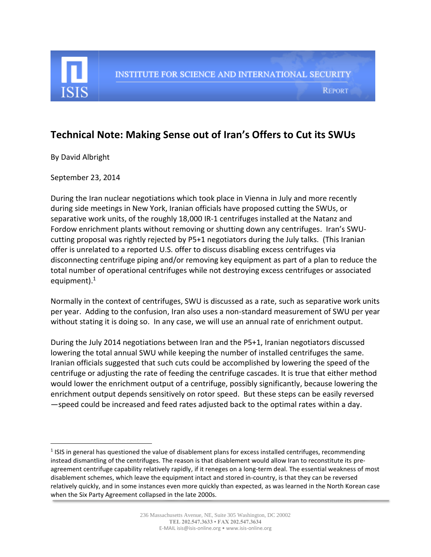

## **Technical Note: Making Sense out of Iran's Offers to Cut its SWUs**

By David Albright

 $\overline{\phantom{a}}$ 

September 23, 2014

During the Iran nuclear negotiations which took place in Vienna in July and more recently during side meetings in New York, Iranian officials have proposed cutting the SWUs, or separative work units, of the roughly 18,000 IR-1 centrifuges installed at the Natanz and Fordow enrichment plants without removing or shutting down any centrifuges. Iran's SWUcutting proposal was rightly rejected by P5+1 negotiators during the July talks. (This Iranian offer is unrelated to a reported U.S. offer to discuss disabling excess centrifuges via disconnecting centrifuge piping and/or removing key equipment as part of a plan to reduce the total number of operational centrifuges while not destroying excess centrifuges or associated equipment). 1

Normally in the context of centrifuges, SWU is discussed as a rate, such as separative work units per year. Adding to the confusion, Iran also uses a non-standard measurement of SWU per year without stating it is doing so. In any case, we will use an annual rate of enrichment output.

During the July 2014 negotiations between Iran and the P5+1, Iranian negotiators discussed lowering the total annual SWU while keeping the number of installed centrifuges the same. Iranian officials suggested that such cuts could be accomplished by lowering the speed of the centrifuge or adjusting the rate of feeding the centrifuge cascades. It is true that either method would lower the enrichment output of a centrifuge, possibly significantly, because lowering the enrichment output depends sensitively on rotor speed. But these steps can be easily reversed —speed could be increased and feed rates adjusted back to the optimal rates within a day.

 $<sup>1</sup>$  ISIS in general has questioned the value of disablement plans for excess installed centrifuges, recommending</sup> instead dismantling of the centrifuges. The reason is that disablement would allow Iran to reconstitute its preagreement centrifuge capability relatively rapidly, if it reneges on a long-term deal. The essential weakness of most disablement schemes, which leave the equipment intact and stored in-country, is that they can be reversed relatively quickly, and in some instances even more quickly than expected, as was learned in the North Korean case when the Six Party Agreement collapsed in the late 2000s.